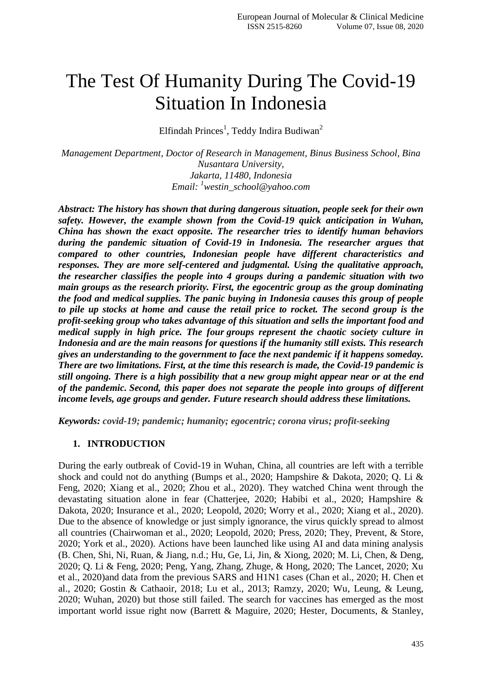# The Test Of Humanity During The Covid-19 Situation In Indonesia

Elfindah Princes<sup>1</sup>, Teddy Indira Budiwan<sup>2</sup>

*Management Department, Doctor of Research in Management, Binus Business School, Bina Nusantara University, Jakarta, 11480, Indonesia Email: <sup>1</sup>westin\_school@yahoo.com*

*Abstract: The history has shown that during dangerous situation, people seek for their own safety. However, the example shown from the Covid-19 quick anticipation in Wuhan, China has shown the exact opposite. The researcher tries to identify human behaviors during the pandemic situation of Covid-19 in Indonesia. The researcher argues that compared to other countries, Indonesian people have different characteristics and responses. They are more self-centered and judgmental. Using the qualitative approach, the researcher classifies the people into 4 groups during a pandemic situation with two main groups as the research priority. First, the egocentric group as the group dominating the food and medical supplies. The panic buying in Indonesia causes this group of people to pile up stocks at home and cause the retail price to rocket. The second group is the profit-seeking group who takes advantage of this situation and sells the important food and medical supply in high price. The four groups represent the chaotic society culture in Indonesia and are the main reasons for questions if the humanity still exists. This research gives an understanding to the government to face the next pandemic if it happens someday. There are two limitations. First, at the time this research is made, the Covid-19 pandemic is still ongoing. There is a high possibility that a new group might appear near or at the end of the pandemic. Second, this paper does not separate the people into groups of different income levels, age groups and gender. Future research should address these limitations.* 

*Keywords: covid-19; pandemic; humanity; egocentric; corona virus; profit-seeking*

#### **1. INTRODUCTION**

During the early outbreak of Covid-19 in Wuhan, China, all countries are left with a terrible shock and could not do anything (Bumps et al., 2020; Hampshire & Dakota, 2020; Q. Li & Feng, 2020; Xiang et al., 2020; Zhou et al., 2020). They watched China went through the devastating situation alone in fear (Chatterjee, 2020; Habibi et al., 2020; Hampshire & Dakota, 2020; Insurance et al., 2020; Leopold, 2020; Worry et al., 2020; Xiang et al., 2020). Due to the absence of knowledge or just simply ignorance, the virus quickly spread to almost all countries (Chairwoman et al., 2020; Leopold, 2020; Press, 2020; They, Prevent, & Store, 2020; York et al., 2020). Actions have been launched like using AI and data mining analysis (B. Chen, Shi, Ni, Ruan, & Jiang, n.d.; Hu, Ge, Li, Jin, & Xiong, 2020; M. Li, Chen, & Deng, 2020; Q. Li & Feng, 2020; Peng, Yang, Zhang, Zhuge, & Hong, 2020; The Lancet, 2020; Xu et al., 2020)and data from the previous SARS and H1N1 cases (Chan et al., 2020; H. Chen et al., 2020; Gostin & Cathaoir, 2018; Lu et al., 2013; Ramzy, 2020; Wu, Leung, & Leung, 2020; Wuhan, 2020) but those still failed. The search for vaccines has emerged as the most important world issue right now (Barrett & Maguire, 2020; Hester, Documents, & Stanley,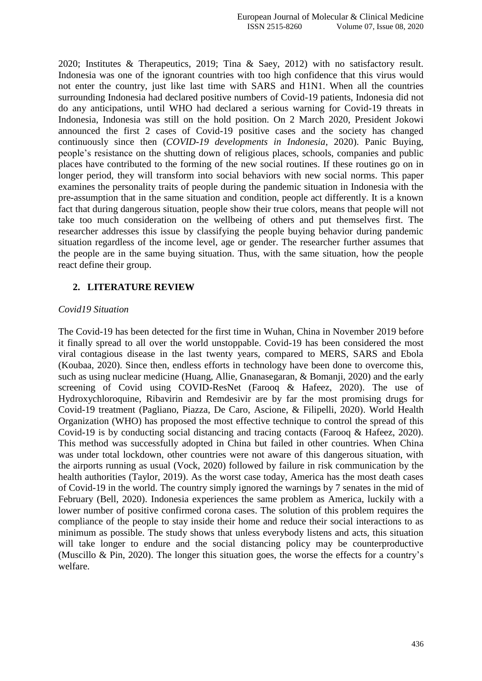2020; Institutes & Therapeutics, 2019; Tina & Saey, 2012) with no satisfactory result. Indonesia was one of the ignorant countries with too high confidence that this virus would not enter the country, just like last time with SARS and H1N1. When all the countries surrounding Indonesia had declared positive numbers of Covid-19 patients, Indonesia did not do any anticipations, until WHO had declared a serious warning for Covid-19 threats in Indonesia, Indonesia was still on the hold position. On 2 March 2020, President Jokowi announced the first 2 cases of Covid-19 positive cases and the society has changed continuously since then (*COVID-19 developments in Indonesia*, 2020). Panic Buying, people's resistance on the shutting down of religious places, schools, companies and public places have contributed to the forming of the new social routines. If these routines go on in longer period, they will transform into social behaviors with new social norms. This paper examines the personality traits of people during the pandemic situation in Indonesia with the pre-assumption that in the same situation and condition, people act differently. It is a known fact that during dangerous situation, people show their true colors, means that people will not take too much consideration on the wellbeing of others and put themselves first. The researcher addresses this issue by classifying the people buying behavior during pandemic situation regardless of the income level, age or gender. The researcher further assumes that the people are in the same buying situation. Thus, with the same situation, how the people react define their group.

### **2. LITERATURE REVIEW**

#### *Covid19 Situation*

The Covid-19 has been detected for the first time in Wuhan, China in November 2019 before it finally spread to all over the world unstoppable. Covid-19 has been considered the most viral contagious disease in the last twenty years, compared to MERS, SARS and Ebola (Koubaa, 2020). Since then, endless efforts in technology have been done to overcome this, such as using nuclear medicine (Huang, Allie, Gnanasegaran, & Bomanji, 2020) and the early screening of Covid using COVID-ResNet (Farooq & Hafeez, 2020). The use of Hydroxychloroquine, Ribavirin and Remdesivir are by far the most promising drugs for Covid-19 treatment (Pagliano, Piazza, De Caro, Ascione, & Filipelli, 2020). World Health Organization (WHO) has proposed the most effective technique to control the spread of this Covid-19 is by conducting social distancing and tracing contacts (Farooq & Hafeez, 2020). This method was successfully adopted in China but failed in other countries. When China was under total lockdown, other countries were not aware of this dangerous situation, with the airports running as usual (Vock, 2020) followed by failure in risk communication by the health authorities (Taylor, 2019). As the worst case today, America has the most death cases of Covid-19 in the world. The country simply ignored the warnings by 7 senates in the mid of February (Bell, 2020). Indonesia experiences the same problem as America, luckily with a lower number of positive confirmed corona cases. The solution of this problem requires the compliance of the people to stay inside their home and reduce their social interactions to as minimum as possible. The study shows that unless everybody listens and acts, this situation will take longer to endure and the social distancing policy may be counterproductive (Muscillo & Pin, 2020). The longer this situation goes, the worse the effects for a country's welfare.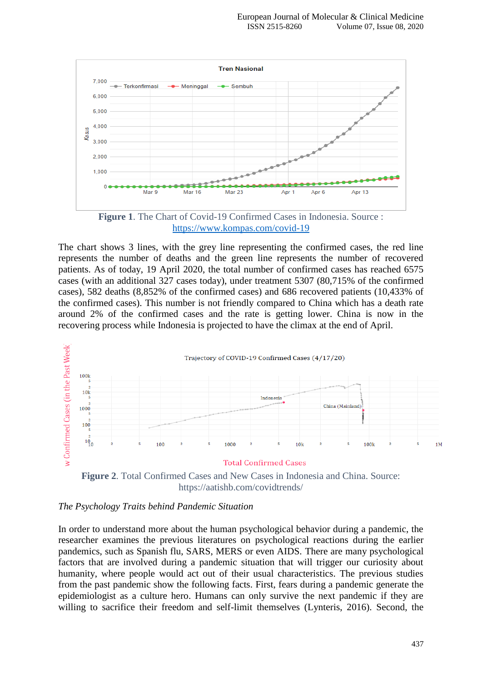



The chart shows 3 lines, with the grey line representing the confirmed cases, the red line represents the number of deaths and the green line represents the number of recovered patients. As of today, 19 April 2020, the total number of confirmed cases has reached 6575 cases (with an additional 327 cases today), under treatment 5307 (80,715% of the confirmed cases), 582 deaths (8,852% of the confirmed cases) and 686 recovered patients (10,433% of the confirmed cases). This number is not friendly compared to China which has a death rate around 2% of the confirmed cases and the rate is getting lower. China is now in the recovering process while Indonesia is projected to have the climax at the end of April.



**Figure 2**. Total Confirmed Cases and New Cases in Indonesia and China. Source: https://aatishb.com/covidtrends/

#### *The Psychology Traits behind Pandemic Situation*

In order to understand more about the human psychological behavior during a pandemic, the researcher examines the previous literatures on psychological reactions during the earlier pandemics, such as Spanish flu, SARS, MERS or even AIDS. There are many psychological factors that are involved during a pandemic situation that will trigger our curiosity about humanity, where people would act out of their usual characteristics. The previous studies from the past pandemic show the following facts. First, fears during a pandemic generate the epidemiologist as a culture hero. Humans can only survive the next pandemic if they are willing to sacrifice their freedom and self-limit themselves (Lynteris, 2016). Second, the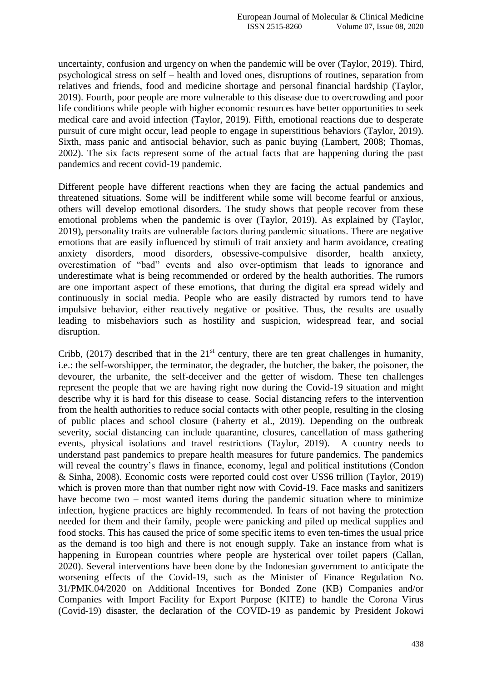uncertainty, confusion and urgency on when the pandemic will be over (Taylor, 2019). Third, psychological stress on self – health and loved ones, disruptions of routines, separation from relatives and friends, food and medicine shortage and personal financial hardship (Taylor, 2019). Fourth, poor people are more vulnerable to this disease due to overcrowding and poor life conditions while people with higher economic resources have better opportunities to seek medical care and avoid infection (Taylor, 2019). Fifth, emotional reactions due to desperate pursuit of cure might occur, lead people to engage in superstitious behaviors (Taylor, 2019). Sixth, mass panic and antisocial behavior, such as panic buying (Lambert, 2008; Thomas, 2002). The six facts represent some of the actual facts that are happening during the past pandemics and recent covid-19 pandemic.

Different people have different reactions when they are facing the actual pandemics and threatened situations. Some will be indifferent while some will become fearful or anxious, others will develop emotional disorders. The study shows that people recover from these emotional problems when the pandemic is over (Taylor, 2019). As explained by (Taylor, 2019), personality traits are vulnerable factors during pandemic situations. There are negative emotions that are easily influenced by stimuli of trait anxiety and harm avoidance, creating anxiety disorders, mood disorders, obsessive-compulsive disorder, health anxiety, overestimation of "bad" events and also over-optimism that leads to ignorance and underestimate what is being recommended or ordered by the health authorities. The rumors are one important aspect of these emotions, that during the digital era spread widely and continuously in social media. People who are easily distracted by rumors tend to have impulsive behavior, either reactively negative or positive. Thus, the results are usually leading to misbehaviors such as hostility and suspicion, widespread fear, and social disruption.

Cribb, (2017) described that in the  $21<sup>st</sup>$  century, there are ten great challenges in humanity, i.e.: the self-worshipper, the terminator, the degrader, the butcher, the baker, the poisoner, the devourer, the urbanite, the self-deceiver and the getter of wisdom. These ten challenges represent the people that we are having right now during the Covid-19 situation and might describe why it is hard for this disease to cease. Social distancing refers to the intervention from the health authorities to reduce social contacts with other people, resulting in the closing of public places and school closure (Faherty et al., 2019). Depending on the outbreak severity, social distancing can include quarantine, closures, cancellation of mass gathering events, physical isolations and travel restrictions (Taylor, 2019). A country needs to understand past pandemics to prepare health measures for future pandemics. The pandemics will reveal the country's flaws in finance, economy, legal and political institutions (Condon & Sinha, 2008). Economic costs were reported could cost over US\$6 trillion (Taylor, 2019) which is proven more than that number right now with Covid-19. Face masks and sanitizers have become two – most wanted items during the pandemic situation where to minimize infection, hygiene practices are highly recommended. In fears of not having the protection needed for them and their family, people were panicking and piled up medical supplies and food stocks. This has caused the price of some specific items to even ten-times the usual price as the demand is too high and there is not enough supply. Take an instance from what is happening in European countries where people are hysterical over toilet papers (Callan, 2020). Several interventions have been done by the Indonesian government to anticipate the worsening effects of the Covid-19, such as the Minister of Finance Regulation No. 31/PMK.04/2020 on Additional Incentives for Bonded Zone (KB) Companies and/or Companies with Import Facility for Export Purpose (KITE) to handle the Corona Virus (Covid-19) disaster, the declaration of the COVID-19 as pandemic by President Jokowi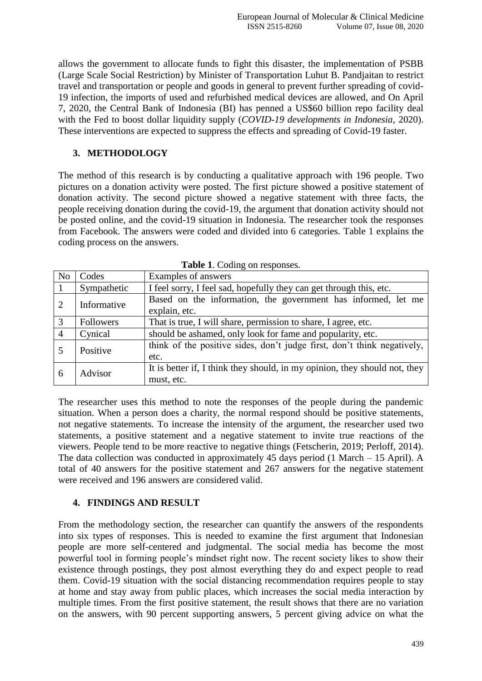allows the government to allocate funds to fight this disaster, the implementation of PSBB (Large Scale Social Restriction) by Minister of Transportation Luhut B. Pandjaitan to restrict travel and transportation or people and goods in general to prevent further spreading of covid-19 infection, the imports of used and refurbished medical devices are allowed, and On April 7, 2020, the Central Bank of Indonesia (BI) has penned a US\$60 billion repo facility deal with the Fed to boost dollar liquidity supply (*COVID-19 developments in Indonesia*, 2020). These interventions are expected to suppress the effects and spreading of Covid-19 faster.

#### **3. METHODOLOGY**

The method of this research is by conducting a qualitative approach with 196 people. Two pictures on a donation activity were posted. The first picture showed a positive statement of donation activity. The second picture showed a negative statement with three facts, the people receiving donation during the covid-19, the argument that donation activity should not be posted online, and the covid-19 situation in Indonesia. The researcher took the responses from Facebook. The answers were coded and divided into 6 categories. Table 1 explains the coding process on the answers.

| N <sub>o</sub> | Codes       | Examples of answers                                                        |  |  |
|----------------|-------------|----------------------------------------------------------------------------|--|--|
| $\overline{1}$ | Sympathetic | I feel sorry, I feel sad, hopefully they can get through this, etc.        |  |  |
| <sup>2</sup>   | Informative | Based on the information, the government has informed, let me              |  |  |
|                |             | explain, etc.                                                              |  |  |
| $\overline{3}$ | Followers   | That is true, I will share, permission to share, I agree, etc.             |  |  |
| $\overline{4}$ | Cynical     | should be ashamed, only look for fame and popularity, etc.                 |  |  |
|                | Positive    | think of the positive sides, don't judge first, don't think negatively,    |  |  |
|                |             | etc.                                                                       |  |  |
| -6             | Advisor     | It is better if, I think they should, in my opinion, they should not, they |  |  |
|                |             | must, etc.                                                                 |  |  |

**Table 1**. Coding on responses.

The researcher uses this method to note the responses of the people during the pandemic situation. When a person does a charity, the normal respond should be positive statements, not negative statements. To increase the intensity of the argument, the researcher used two statements, a positive statement and a negative statement to invite true reactions of the viewers. People tend to be more reactive to negative things (Fetscherin, 2019; Perloff, 2014). The data collection was conducted in approximately 45 days period (1 March – 15 April). A total of 40 answers for the positive statement and 267 answers for the negative statement were received and 196 answers are considered valid.

## **4. FINDINGS AND RESULT**

From the methodology section, the researcher can quantify the answers of the respondents into six types of responses. This is needed to examine the first argument that Indonesian people are more self-centered and judgmental. The social media has become the most powerful tool in forming people's mindset right now. The recent society likes to show their existence through postings, they post almost everything they do and expect people to read them. Covid-19 situation with the social distancing recommendation requires people to stay at home and stay away from public places, which increases the social media interaction by multiple times. From the first positive statement, the result shows that there are no variation on the answers, with 90 percent supporting answers, 5 percent giving advice on what the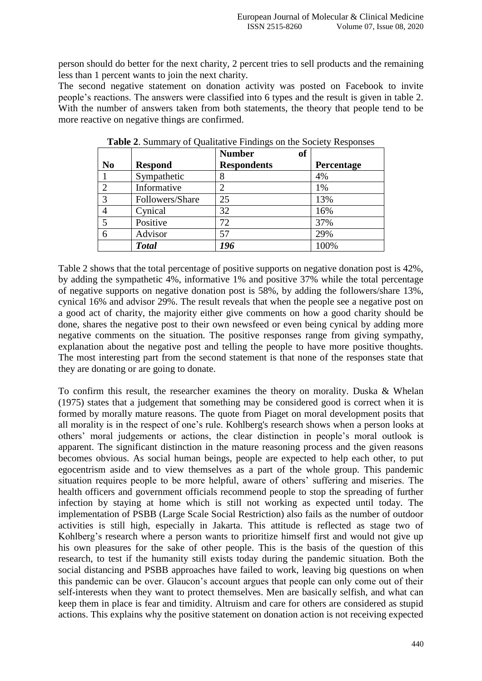person should do better for the next charity, 2 percent tries to sell products and the remaining less than 1 percent wants to join the next charity.

The second negative statement on donation activity was posted on Facebook to invite people's reactions. The answers were classified into 6 types and the result is given in table 2. With the number of answers taken from both statements, the theory that people tend to be more reactive on negative things are confirmed.

|                |                 | <b>of</b><br><b>Number</b>  |            |
|----------------|-----------------|-----------------------------|------------|
| N <sub>0</sub> | <b>Respond</b>  | <b>Respondents</b>          | Percentage |
|                | Sympathetic     | 8                           | 4%         |
| ⌒              | Informative     | $\mathcal{D}_{\mathcal{L}}$ | 1%         |
| 3              | Followers/Share | 25                          | 13%        |
|                | Cynical         | 32                          | 16%        |
|                | Positive        | 72                          | 37%        |
|                | Advisor         | 57                          | 29%        |
|                | <b>Total</b>    | 196                         | 100%       |

**Table 2**. Summary of Qualitative Findings on the Society Responses

Table 2 shows that the total percentage of positive supports on negative donation post is 42%, by adding the sympathetic 4%, informative 1% and positive 37% while the total percentage of negative supports on negative donation post is 58%, by adding the followers/share 13%, cynical 16% and advisor 29%. The result reveals that when the people see a negative post on a good act of charity, the majority either give comments on how a good charity should be done, shares the negative post to their own newsfeed or even being cynical by adding more negative comments on the situation. The positive responses range from giving sympathy, explanation about the negative post and telling the people to have more positive thoughts. The most interesting part from the second statement is that none of the responses state that they are donating or are going to donate.

To confirm this result, the researcher examines the theory on morality. Duska & Whelan (1975) states that a judgement that something may be considered good is correct when it is formed by morally mature reasons. The quote from Piaget on moral development posits that all morality is in the respect of one's rule. Kohlberg's research shows when a person looks at others' moral judgements or actions, the clear distinction in people's moral outlook is apparent. The significant distinction in the mature reasoning process and the given reasons becomes obvious. As social human beings, people are expected to help each other, to put egocentrism aside and to view themselves as a part of the whole group. This pandemic situation requires people to be more helpful, aware of others' suffering and miseries. The health officers and government officials recommend people to stop the spreading of further infection by staying at home which is still not working as expected until today. The implementation of PSBB (Large Scale Social Restriction) also fails as the number of outdoor activities is still high, especially in Jakarta. This attitude is reflected as stage two of Kohlberg's research where a person wants to prioritize himself first and would not give up his own pleasures for the sake of other people. This is the basis of the question of this research, to test if the humanity still exists today during the pandemic situation. Both the social distancing and PSBB approaches have failed to work, leaving big questions on when this pandemic can be over. Glaucon's account argues that people can only come out of their self-interests when they want to protect themselves. Men are basically selfish, and what can keep them in place is fear and timidity. Altruism and care for others are considered as stupid actions. This explains why the positive statement on donation action is not receiving expected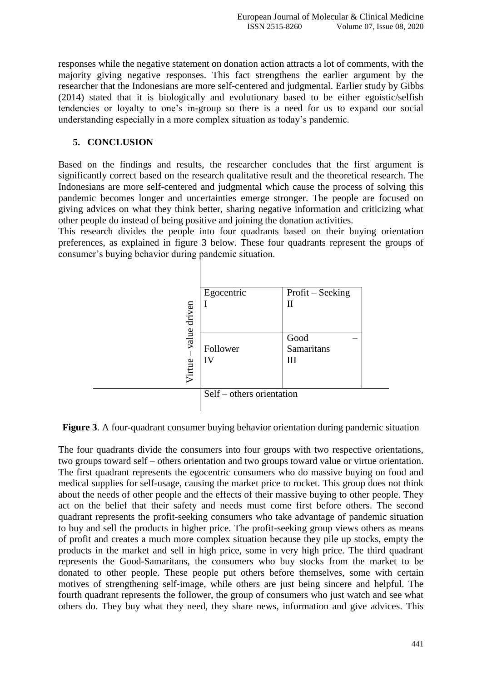responses while the negative statement on donation action attracts a lot of comments, with the majority giving negative responses. This fact strengthens the earlier argument by the researcher that the Indonesians are more self-centered and judgmental. Earlier study by Gibbs (2014) stated that it is biologically and evolutionary based to be either egoistic/selfish tendencies or loyalty to one's in-group so there is a need for us to expand our social understanding especially in a more complex situation as today's pandemic.

### **5. CONCLUSION**

Based on the findings and results, the researcher concludes that the first argument is significantly correct based on the research qualitative result and the theoretical research. The Indonesians are more self-centered and judgmental which cause the process of solving this pandemic becomes longer and uncertainties emerge stronger. The people are focused on giving advices on what they think better, sharing negative information and criticizing what other people do instead of being positive and joining the donation activities.

This research divides the people into four quadrants based on their buying orientation preferences, as explained in figure 3 below. These four quadrants represent the groups of consumer's buying behavior during pandemic situation.



**Figure 3**. A four-quadrant consumer buying behavior orientation during pandemic situation

The four quadrants divide the consumers into four groups with two respective orientations, two groups toward self – others orientation and two groups toward value or virtue orientation. The first quadrant represents the egocentric consumers who do massive buying on food and medical supplies for self-usage, causing the market price to rocket. This group does not think about the needs of other people and the effects of their massive buying to other people. They act on the belief that their safety and needs must come first before others. The second quadrant represents the profit-seeking consumers who take advantage of pandemic situation to buy and sell the products in higher price. The profit-seeking group views others as means of profit and creates a much more complex situation because they pile up stocks, empty the products in the market and sell in high price, some in very high price. The third quadrant represents the Good-Samaritans, the consumers who buy stocks from the market to be donated to other people. These people put others before themselves, some with certain motives of strengthening self-image, while others are just being sincere and helpful. The fourth quadrant represents the follower, the group of consumers who just watch and see what others do. They buy what they need, they share news, information and give advices. This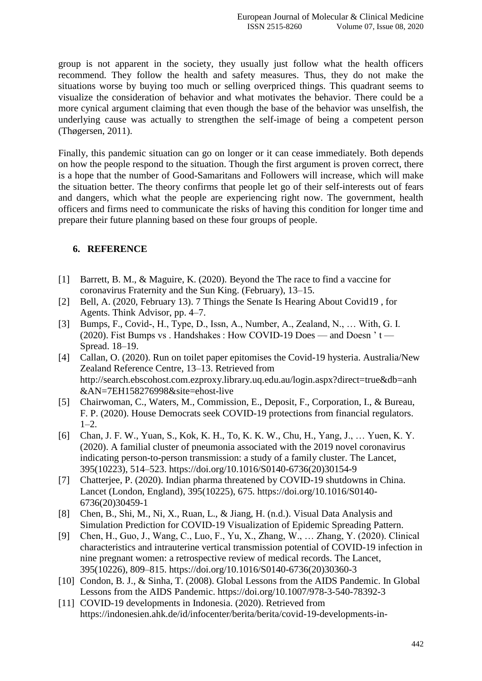group is not apparent in the society, they usually just follow what the health officers recommend. They follow the health and safety measures. Thus, they do not make the situations worse by buying too much or selling overpriced things. This quadrant seems to visualize the consideration of behavior and what motivates the behavior. There could be a more cynical argument claiming that even though the base of the behavior was unselfish, the underlying cause was actually to strengthen the self-image of being a competent person (Thøgersen, 2011).

Finally, this pandemic situation can go on longer or it can cease immediately. Both depends on how the people respond to the situation. Though the first argument is proven correct, there is a hope that the number of Good-Samaritans and Followers will increase, which will make the situation better. The theory confirms that people let go of their self-interests out of fears and dangers, which what the people are experiencing right now. The government, health officers and firms need to communicate the risks of having this condition for longer time and prepare their future planning based on these four groups of people.

## **6. REFERENCE**

- [1] Barrett, B. M., & Maguire, K. (2020). Beyond the The race to find a vaccine for coronavirus Fraternity and the Sun King. (February), 13–15.
- [2] Bell, A. (2020, February 13). 7 Things the Senate Is Hearing About Covid19 , for Agents. Think Advisor, pp. 4–7.
- [3] Bumps, F., Covid-, H., Type, D., Issn, A., Number, A., Zealand, N., … With, G. I. (2020). Fist Bumps vs . Handshakes : How COVID-19 Does — and Doesn ' t — Spread. 18–19.
- [4] Callan, O. (2020). Run on toilet paper epitomises the Covid-19 hysteria. Australia/New Zealand Reference Centre, 13–13. Retrieved from http://search.ebscohost.com.ezproxy.library.uq.edu.au/login.aspx?direct=true&db=anh &AN=7EH158276998&site=ehost-live
- [5] Chairwoman, C., Waters, M., Commission, E., Deposit, F., Corporation, I., & Bureau, F. P. (2020). House Democrats seek COVID-19 protections from financial regulators.  $1-2.$
- [6] Chan, J. F. W., Yuan, S., Kok, K. H., To, K. K. W., Chu, H., Yang, J., … Yuen, K. Y. (2020). A familial cluster of pneumonia associated with the 2019 novel coronavirus indicating person-to-person transmission: a study of a family cluster. The Lancet, 395(10223), 514–523. https://doi.org/10.1016/S0140-6736(20)30154-9
- [7] Chatterjee, P. (2020). Indian pharma threatened by COVID-19 shutdowns in China. Lancet (London, England), 395(10225), 675. https://doi.org/10.1016/S0140- 6736(20)30459-1
- [8] Chen, B., Shi, M., Ni, X., Ruan, L., & Jiang, H. (n.d.). Visual Data Analysis and Simulation Prediction for COVID-19 Visualization of Epidemic Spreading Pattern.
- [9] Chen, H., Guo, J., Wang, C., Luo, F., Yu, X., Zhang, W., … Zhang, Y. (2020). Clinical characteristics and intrauterine vertical transmission potential of COVID-19 infection in nine pregnant women: a retrospective review of medical records. The Lancet, 395(10226), 809–815. https://doi.org/10.1016/S0140-6736(20)30360-3
- [10] Condon, B. J., & Sinha, T. (2008). Global Lessons from the AIDS Pandemic. In Global Lessons from the AIDS Pandemic. https://doi.org/10.1007/978-3-540-78392-3
- [11] COVID-19 developments in Indonesia. (2020). Retrieved from https://indonesien.ahk.de/id/infocenter/berita/berita/covid-19-developments-in-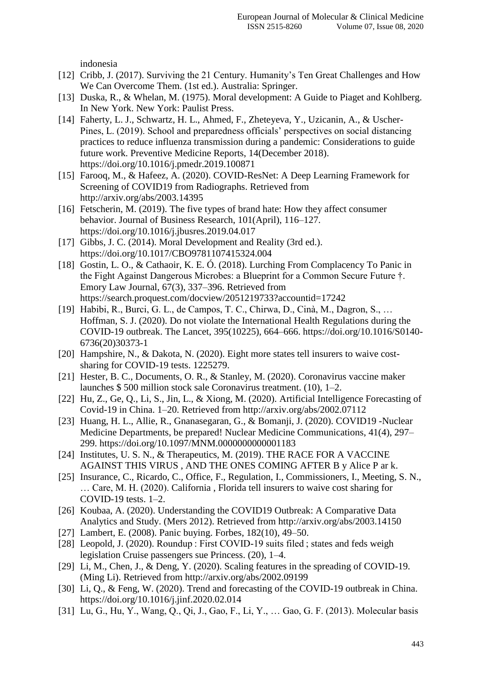indonesia

- [12] Cribb, J. (2017). Surviving the 21 Century. Humanity's Ten Great Challenges and How We Can Overcome Them. (1st ed.). Australia: Springer.
- [13] Duska, R., & Whelan, M. (1975). Moral development: A Guide to Piaget and Kohlberg. In New York. New York: Paulist Press.
- [14] Faherty, L. J., Schwartz, H. L., Ahmed, F., Zheteyeva, Y., Uzicanin, A., & Uscher-Pines, L. (2019). School and preparedness officials' perspectives on social distancing practices to reduce influenza transmission during a pandemic: Considerations to guide future work. Preventive Medicine Reports, 14(December 2018). https://doi.org/10.1016/j.pmedr.2019.100871
- [15] Farooq, M., & Hafeez, A. (2020). COVID-ResNet: A Deep Learning Framework for Screening of COVID19 from Radiographs. Retrieved from http://arxiv.org/abs/2003.14395
- [16] Fetscherin, M. (2019). The five types of brand hate: How they affect consumer behavior. Journal of Business Research, 101(April), 116–127. https://doi.org/10.1016/j.jbusres.2019.04.017
- [17] Gibbs, J. C. (2014). Moral Development and Reality (3rd ed.). https://doi.org/10.1017/CBO9781107415324.004
- [18] Gostin, L. O., & Cathaoir, K. E. Ó. (2018). Lurching From Complacency To Panic in the Fight Against Dangerous Microbes: a Blueprint for a Common Secure Future †. Emory Law Journal, 67(3), 337–396. Retrieved from https://search.proquest.com/docview/2051219733?accountid=17242
- [19] Habibi, R., Burci, G. L., de Campos, T. C., Chirwa, D., Cinà, M., Dagron, S., … Hoffman, S. J. (2020). Do not violate the International Health Regulations during the COVID-19 outbreak. The Lancet, 395(10225), 664–666. https://doi.org/10.1016/S0140- 6736(20)30373-1
- [20] Hampshire, N., & Dakota, N. (2020). Eight more states tell insurers to waive costsharing for COVID-19 tests. 1225279.
- [21] Hester, B. C., Documents, O. R., & Stanley, M. (2020). Coronavirus vaccine maker launches \$ 500 million stock sale Coronavirus treatment. (10), 1–2.
- [22] Hu, Z., Ge, Q., Li, S., Jin, L., & Xiong, M. (2020). Artificial Intelligence Forecasting of Covid-19 in China. 1–20. Retrieved from http://arxiv.org/abs/2002.07112
- [23] Huang, H. L., Allie, R., Gnanasegaran, G., & Bomanji, J. (2020). COVID19 -Nuclear Medicine Departments, be prepared! Nuclear Medicine Communications, 41(4), 297– 299. https://doi.org/10.1097/MNM.0000000000001183
- [24] Institutes, U. S. N., & Therapeutics, M. (2019). THE RACE FOR A VACCINE AGAINST THIS VIRUS , AND THE ONES COMING AFTER B y Alice P ar k.
- [25] Insurance, C., Ricardo, C., Office, F., Regulation, I., Commissioners, I., Meeting, S. N., … Care, M. H. (2020). California , Florida tell insurers to waive cost sharing for COVID-19 tests. 1–2.
- [26] Koubaa, A. (2020). Understanding the COVID19 Outbreak: A Comparative Data Analytics and Study. (Mers 2012). Retrieved from http://arxiv.org/abs/2003.14150
- [27] Lambert, E. (2008). Panic buying. Forbes, 182(10), 49–50.
- [28] Leopold, J. (2020). Roundup : First COVID-19 suits filed ; states and feds weigh legislation Cruise passengers sue Princess. (20), 1–4.
- [29] Li, M., Chen, J., & Deng, Y. (2020). Scaling features in the spreading of COVID-19. (Ming Li). Retrieved from http://arxiv.org/abs/2002.09199
- [30] Li, Q., & Feng, W. (2020). Trend and forecasting of the COVID-19 outbreak in China. https://doi.org/10.1016/j.jinf.2020.02.014
- [31] Lu, G., Hu, Y., Wang, Q., Qi, J., Gao, F., Li, Y., … Gao, G. F. (2013). Molecular basis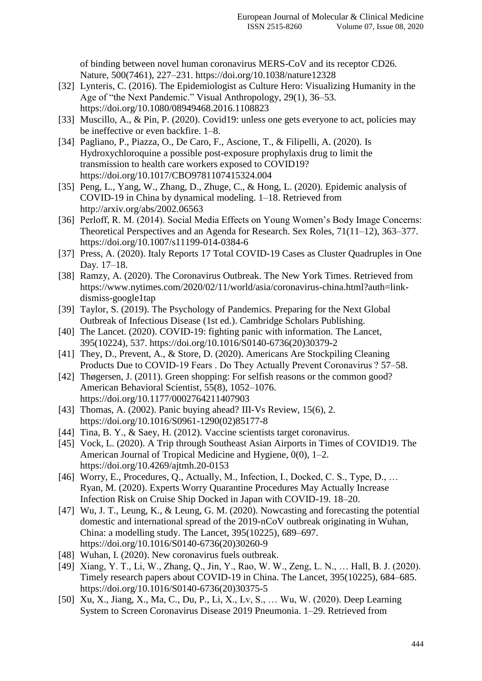of binding between novel human coronavirus MERS-CoV and its receptor CD26. Nature, 500(7461), 227–231. https://doi.org/10.1038/nature12328

- [32] Lynteris, C. (2016). The Epidemiologist as Culture Hero: Visualizing Humanity in the Age of "the Next Pandemic." Visual Anthropology, 29(1), 36–53. https://doi.org/10.1080/08949468.2016.1108823
- [33] Muscillo, A., & Pin, P. (2020). Covid19: unless one gets everyone to act, policies may be ineffective or even backfire. 1–8.
- [34] Pagliano, P., Piazza, O., De Caro, F., Ascione, T., & Filipelli, A. (2020). Is Hydroxychloroquine a possible post-exposure prophylaxis drug to limit the transmission to health care workers exposed to COVID19? https://doi.org/10.1017/CBO9781107415324.004
- [35] Peng, L., Yang, W., Zhang, D., Zhuge, C., & Hong, L. (2020). Epidemic analysis of COVID-19 in China by dynamical modeling. 1–18. Retrieved from http://arxiv.org/abs/2002.06563
- [36] Perloff, R. M. (2014). Social Media Effects on Young Women's Body Image Concerns: Theoretical Perspectives and an Agenda for Research. Sex Roles, 71(11–12), 363–377. https://doi.org/10.1007/s11199-014-0384-6
- [37] Press, A. (2020). Italy Reports 17 Total COVID-19 Cases as Cluster Quadruples in One Day. 17–18.
- [38] Ramzy, A. (2020). The Coronavirus Outbreak. The New York Times. Retrieved from https://www.nytimes.com/2020/02/11/world/asia/coronavirus-china.html?auth=linkdismiss-google1tap
- [39] Taylor, S. (2019). The Psychology of Pandemics. Preparing for the Next Global Outbreak of Infectious Disease (1st ed.). Cambridge Scholars Publishing.
- [40] The Lancet. (2020). COVID-19: fighting panic with information. The Lancet, 395(10224), 537. https://doi.org/10.1016/S0140-6736(20)30379-2
- [41] They, D., Prevent, A., & Store, D. (2020). Americans Are Stockpiling Cleaning Products Due to COVID-19 Fears . Do They Actually Prevent Coronavirus ? 57–58.
- [42] Thøgersen, J. (2011). Green shopping: For selfish reasons or the common good? American Behavioral Scientist, 55(8), 1052–1076. https://doi.org/10.1177/0002764211407903
- [43] Thomas, A. (2002). Panic buying ahead? III-Vs Review, 15(6), 2. https://doi.org/10.1016/S0961-1290(02)85177-8
- [44] Tina, B. Y., & Saey, H. (2012). Vaccine scientists target coronavirus.
- [45] Vock, L. (2020). A Trip through Southeast Asian Airports in Times of COVID19. The American Journal of Tropical Medicine and Hygiene, 0(0), 1–2. https://doi.org/10.4269/ajtmh.20-0153
- [46] Worry, E., Procedures, Q., Actually, M., Infection, I., Docked, C. S., Type, D., ... Ryan, M. (2020). Experts Worry Quarantine Procedures May Actually Increase Infection Risk on Cruise Ship Docked in Japan with COVID-19. 18–20.
- [47] Wu, J. T., Leung, K., & Leung, G. M. (2020). Now casting and forecasting the potential domestic and international spread of the 2019-nCoV outbreak originating in Wuhan, China: a modelling study. The Lancet, 395(10225), 689–697. https://doi.org/10.1016/S0140-6736(20)30260-9
- [48] Wuhan, I. (2020). New coronavirus fuels outbreak.
- [49] Xiang, Y. T., Li, W., Zhang, Q., Jin, Y., Rao, W. W., Zeng, L. N., ... Hall, B. J. (2020). Timely research papers about COVID-19 in China. The Lancet, 395(10225), 684–685. https://doi.org/10.1016/S0140-6736(20)30375-5
- [50] Xu, X., Jiang, X., Ma, C., Du, P., Li, X., Lv, S., … Wu, W. (2020). Deep Learning System to Screen Coronavirus Disease 2019 Pneumonia. 1–29. Retrieved from